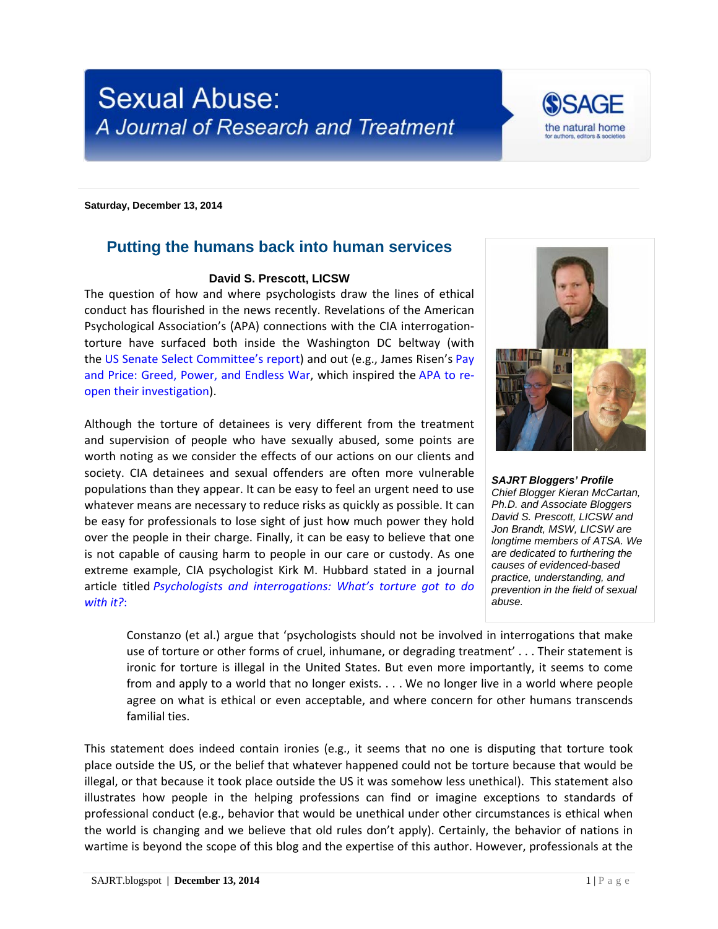



**Saturday, December 13, 2014**

## **Putting the humans back into human services**

## **David S. Prescott, LICSW**

The question of how and where psychologists draw the lines of ethical conduct has flourished in the news recently. Revelations of the American Psychological Association's (APA) connections with the CIA interrogationtorture have surfaced both inside the Washington DC beltway (with the [US Senate Select Committee's report\)](http://www.washingtonpost.com/wp-srv/special/national/cia-interrogation-report/document/) and out (e.g., James Risen's [Pay](http://www.nytimes.com/2014/10/26/books/review/james-risens-pay-any-price.html)  [and Price: Greed, Power, and Endless War,](http://www.nytimes.com/2014/10/26/books/review/james-risens-pay-any-price.html) which inspired the [APA to re](http://www.apa.org/news/press/statements/interrogations.aspx)[open their investigation\)](http://www.apa.org/news/press/statements/interrogations.aspx).

Although the torture of detainees is very different from the treatment and supervision of people who have sexually abused, some points are worth noting as we consider the effects of our actions on our clients and society. CIA detainees and sexual offenders are often more vulnerable populations than they appear. It can be easy to feel an urgent need to use whatever means are necessary to reduce risks as quickly as possible. It can be easy for professionals to lose sight of just how much power they hold over the people in their charge. Finally, it can be easy to believe that one is not capable of causing harm to people in our care or custody. As one extreme example, CIA psychologist Kirk M. Hubbard stated in a journal article titled *[Psychologists and interrogations: What's torture got to do](http://www.humbleisd.net/cms/lib2/TX01001414/Centricity/Domain/3141/TortureJournals.pdf)  [with it?](http://www.humbleisd.net/cms/lib2/TX01001414/Centricity/Domain/3141/TortureJournals.pdf)*:



*SAJRT Bloggers' Profile Chief Blogger Kieran McCartan, Ph.D. and Associate Bloggers David S. Prescott, LICSW and Jon Brandt, MSW, LICSW are longtime members of ATSA. We are dedicated to furthering the causes of evidenced-based practice, understanding, and prevention in the field of sexual abuse.*

Constanzo (et al.) argue that 'psychologists should not be involved in interrogations that make use of torture or other forms of cruel, inhumane, or degrading treatment' . . . Their statement is ironic for torture is illegal in the United States. But even more importantly, it seems to come from and apply to a world that no longer exists. . . . We no longer live in a world where people agree on what is ethical or even acceptable, and where concern for other humans transcends familial ties.

This statement does indeed contain ironies (e.g., it seems that no one is disputing that torture took place outside the US, or the belief that whatever happened could not be torture because that would be illegal, or that because it took place outside the US it was somehow less unethical). This statement also illustrates how people in the helping professions can find or imagine exceptions to standards of professional conduct (e.g., behavior that would be unethical under other circumstances is ethical when the world is changing and we believe that old rules don't apply). Certainly, the behavior of nations in wartime is beyond the scope of this blog and the expertise of this author. However, professionals at the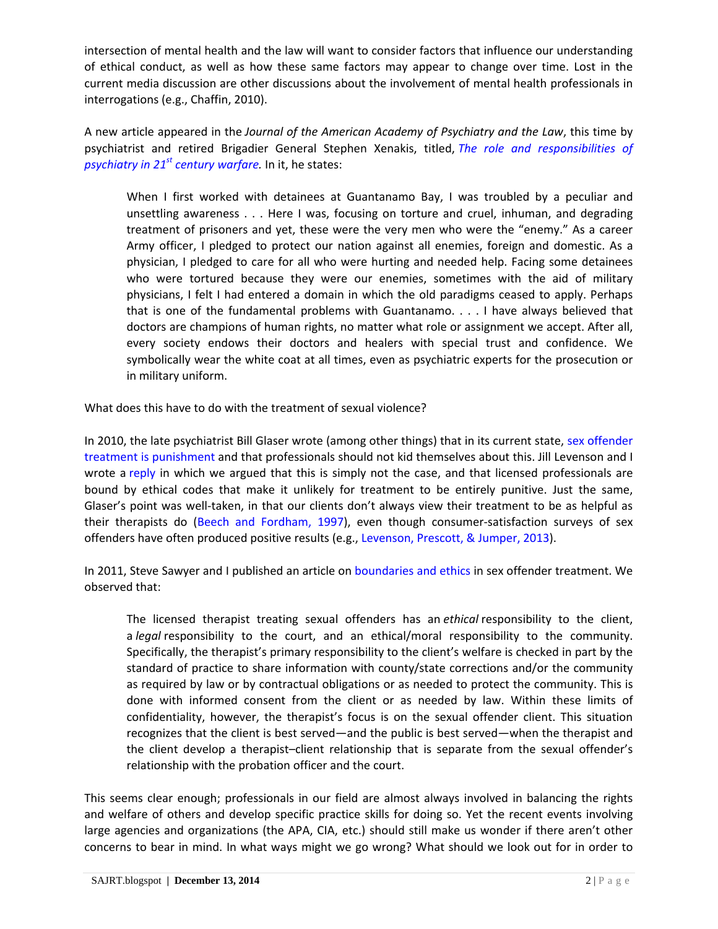intersection of mental health and the law will want to consider factors that influence our understanding of ethical conduct, as well as how these same factors may appear to change over time. Lost in the current media discussion are other discussions about the involvement of mental health professionals in interrogations (e.g., Chaffin, 2010).

A new article appeared in the *Journal of the American Academy of Psychiatry and the Law*, this time by psychiatrist and retired Brigadier General Stephen Xenakis, titled, *[The role and responsibilities of](http://www.jaapl.org/content/42/4/504.full.pdf+html)  psychiatry in 21st [century warfare.](http://www.jaapl.org/content/42/4/504.full.pdf+html)* In it, he states:

When I first worked with detainees at Guantanamo Bay, I was troubled by a peculiar and unsettling awareness . . . Here I was, focusing on torture and cruel, inhuman, and degrading treatment of prisoners and yet, these were the very men who were the "enemy." As a career Army officer, I pledged to protect our nation against all enemies, foreign and domestic. As a physician, I pledged to care for all who were hurting and needed help. Facing some detainees who were tortured because they were our enemies, sometimes with the aid of military physicians, I felt I had entered a domain in which the old paradigms ceased to apply. Perhaps that is one of the fundamental problems with Guantanamo. . . . I have always believed that doctors are champions of human rights, no matter what role or assignment we accept. After all, every society endows their doctors and healers with special trust and confidence. We symbolically wear the white coat at all times, even as psychiatric experts for the prosecution or in military uniform.

What does this have to do with the treatment of sexual violence?

In 2010, the late psychiatrist Bill Glaser wrote (among other things) that in its current state, [sex offender](http://www.tandfonline.com/doi/abs/10.1080/13552600.2010.483139)  [treatment is punishment](http://www.tandfonline.com/doi/abs/10.1080/13552600.2010.483139) and that professionals should not kid themselves about this. Jill Levenson and I wrote a [reply](http://www.tandfonline.com/doi/abs/10.1080/13552600.2010.483819) in which we argued that this is simply not the case, and that licensed professionals are bound by ethical codes that make it unlikely for treatment to be entirely punitive. Just the same, Glaser's point was well-taken, in that our clients don't always view their treatment to be as helpful as their therapists do (Beech and [Fordham, 1997\)](http://link.springer.com/article/10.1007%2FBF02675066), even though consumer-satisfaction surveys of sex offenders have often produced positive results (e.g., [Levenson, Prescott, & Jumper, 2013\)](http://www.rimas.qc.ca/wp-content/uploads/2013/10/Levenson1.pdf).

In 2011, Steve Sawyer and I published an article on [boundaries and ethics](http://sax.sagepub.com/content/23/3/365.refs) in sex offender treatment. We observed that:

The licensed therapist treating sexual offenders has an *ethical* responsibility to the client, a *legal* responsibility to the court, and an ethical/moral responsibility to the community. Specifically, the therapist's primary responsibility to the client's welfare is checked in part by the standard of practice to share information with county/state corrections and/or the community as required by law or by contractual obligations or as needed to protect the community. This is done with informed consent from the client or as needed by law. Within these limits of confidentiality, however, the therapist's focus is on the sexual offender client. This situation recognizes that the client is best served—and the public is best served—when the therapist and the client develop a therapist–client relationship that is separate from the sexual offender's relationship with the probation officer and the court.

This seems clear enough; professionals in our field are almost always involved in balancing the rights and welfare of others and develop specific practice skills for doing so. Yet the recent events involving large agencies and organizations (the APA, CIA, etc.) should still make us wonder if there aren't other concerns to bear in mind. In what ways might we go wrong? What should we look out for in order to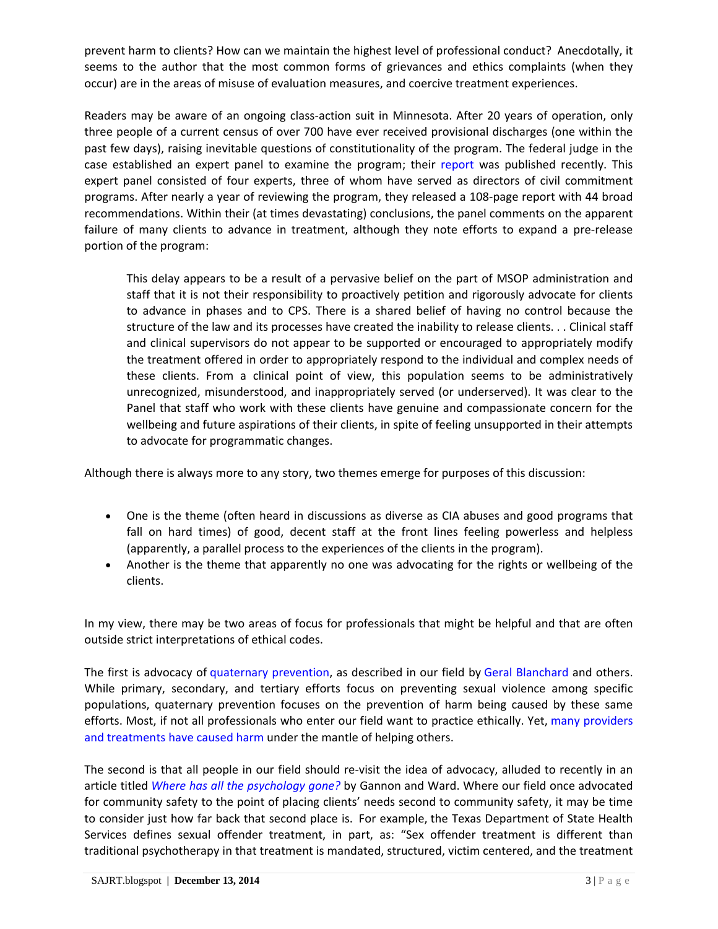prevent harm to clients? How can we maintain the highest level of professional conduct? Anecdotally, it seems to the author that the most common forms of grievances and ethics complaints (when they occur) are in the areas of misuse of evaluation measures, and coercive treatment experiences.

Readers may be aware of an ongoing class-action suit in Minnesota. After 20 years of operation, only three people of a current census of over 700 have ever received provisional discharges (one within the past few days), raising inevitable questions of constitutionality of the program. The federal judge in the case established an expert panel to examine the program; their [report](http://stmedia.startribune.com/documents/Expert+panel+report+on+sex+offender+program.pdf) was published recently. This expert panel consisted of four experts, three of whom have served as directors of civil commitment programs. After nearly a year of reviewing the program, they released a 108-page report with 44 broad recommendations. Within their (at times devastating) conclusions, the panel comments on the apparent failure of many clients to advance in treatment, although they note efforts to expand a pre-release portion of the program:

This delay appears to be a result of a pervasive belief on the part of MSOP administration and staff that it is not their responsibility to proactively petition and rigorously advocate for clients to advance in phases and to CPS. There is a shared belief of having no control because the structure of the law and its processes have created the inability to release clients. . . Clinical staff and clinical supervisors do not appear to be supported or encouraged to appropriately modify the treatment offered in order to appropriately respond to the individual and complex needs of these clients. From a clinical point of view, this population seems to be administratively unrecognized, misunderstood, and inappropriately served (or underserved). It was clear to the Panel that staff who work with these clients have genuine and compassionate concern for the wellbeing and future aspirations of their clients, in spite of feeling unsupported in their attempts to advocate for programmatic changes.

Although there is always more to any story, two themes emerge for purposes of this discussion:

- One is the theme (often heard in discussions as diverse as CIA abuses and good programs that fall on hard times) of good, decent staff at the front lines feeling powerless and helpless (apparently, a parallel process to the experiences of the clients in the program).
- Another is the theme that apparently no one was advocating for the rights or wellbeing of the clients.

In my view, there may be two areas of focus for professionals that might be helpful and that are often outside strict interpretations of ethical codes.

The first is advocacy of [quaternary prevention,](http://en.wikipedia.org/wiki/Quaternary_prevention) as described in our field by [Geral Blanchard](http://www.davidprescott.net/2015wATSAForum-Blanchard%20.pdf) and others. While primary, secondary, and tertiary efforts focus on preventing sexual violence among specific populations, quaternary prevention focuses on the prevention of harm being caused by these same efforts. Most, if not all professionals who enter our field want to practice ethically. Yet, many providers [and treatments have caused harm](http://www.altteaching.org/Docs/Treatments_Harm.pdf) under the mantle of helping others.

The second is that all people in our field should re-visit the idea of advocacy, alluded to recently in an article titled *[Where has all the psychology gone?](http://www.sciencedirect.com/science/article/pii/S1359178914000597)* by Gannon and Ward. Where our field once advocated for community safety to the point of placing clients' needs second to community safety, it may be time to consider just how far back that second place is. For example, the Texas Department of State Health Services defines sexual offender treatment, in part, as: "Sex offender treatment is different than traditional psychotherapy in that treatment is mandated, structured, victim centered, and the treatment